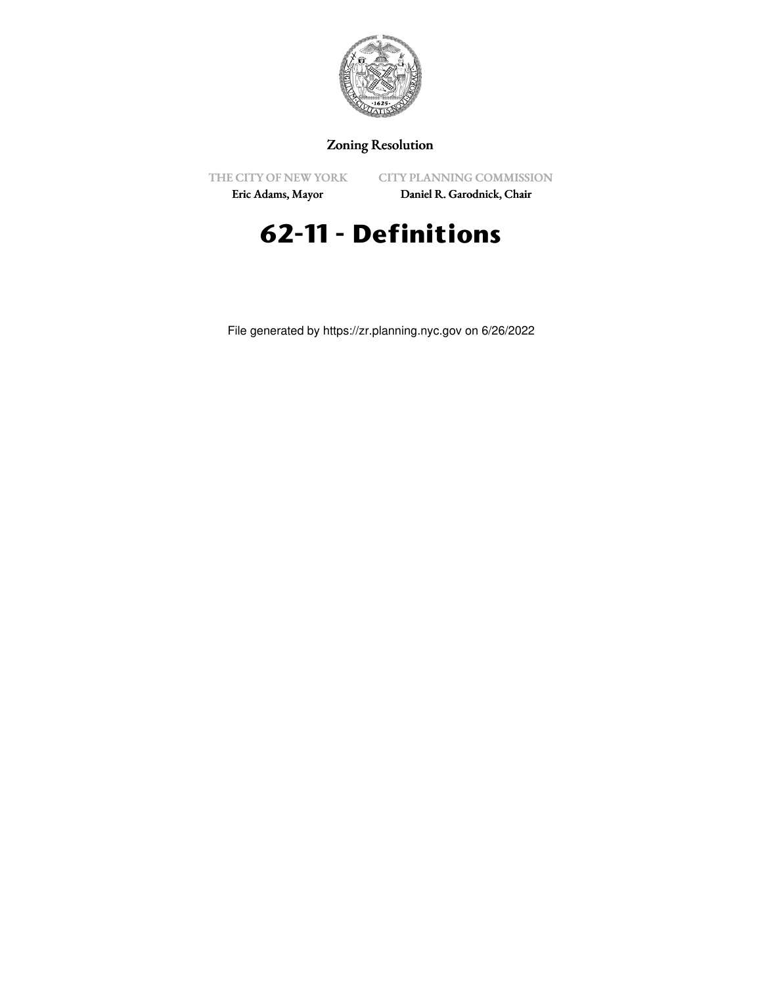

# Zoning Resolution

THE CITY OF NEW YORK

CITY PLANNING COMMISSION

Eric Adams, Mayor

Daniel R. Garodnick, Chair

# **62-11 - Definitions**

File generated by https://zr.planning.nyc.gov on 6/26/2022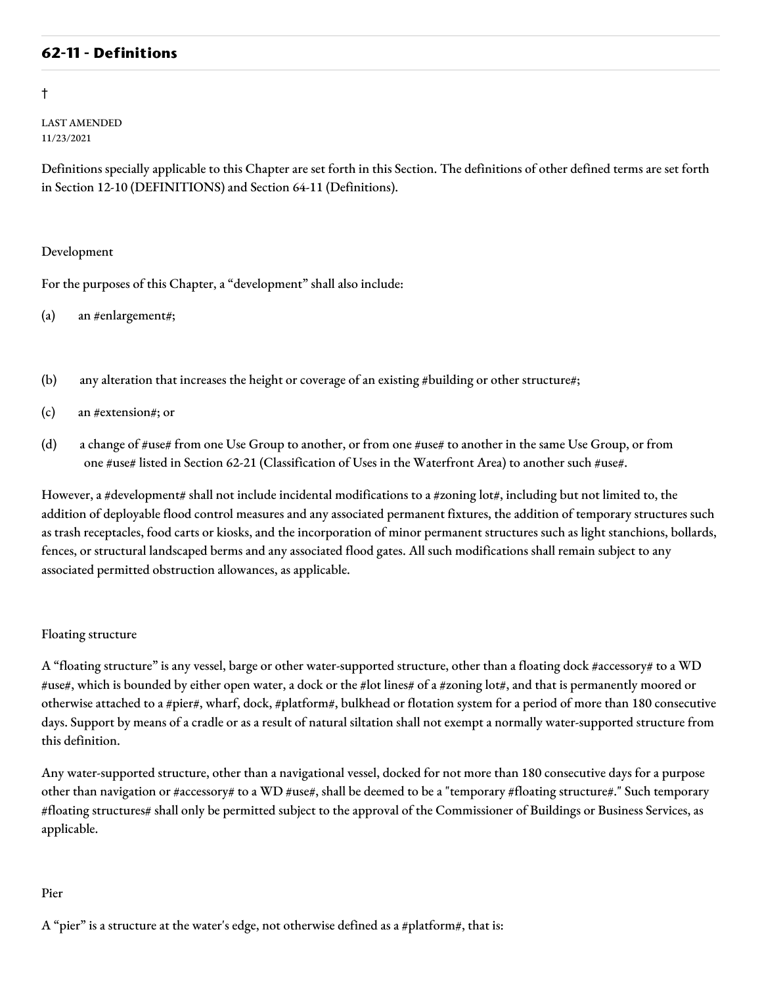# **62-11 - Definitions**

#### †

LAST AMENDED 11/23/2021

Definitions specially applicable to this Chapter are set forth in this Section. The definitions of other defined terms are set forth in Section 12-10 (DEFINITIONS) and Section 64-11 (Definitions).

#### Development

For the purposes of this Chapter, a "development" shall also include:

(a) an #enlargement#;

- (b) any alteration that increases the height or coverage of an existing #building or other structure#;
- (c) an #extension#; or
- (d) a change of #use# from one Use Group to another, or from one #use# to another in the same Use Group, or from one #use# listed in Section 62-21 (Classification of Uses in the Waterfront Area) to another such #use#.

However, a #development# shall not include incidental modifications to a #zoning lot#, including but not limited to, the addition of deployable flood control measures and any associated permanent fixtures, the addition of temporary structures such as trash receptacles, food carts or kiosks, and the incorporation of minor permanent structures such as light stanchions, bollards, fences, or structural landscaped berms and any associated flood gates. All such modifications shall remain subject to any associated permitted obstruction allowances, as applicable.

#### Floating structure

A "floating structure" is any vessel, barge or other water-supported structure, other than a floating dock #accessory# to a WD #use#, which is bounded by either open water, a dock or the #lot lines# of a #zoning lot#, and that is permanently moored or otherwise attached to a #pier#, wharf, dock, #platform#, bulkhead or flotation system for a period of more than 180 consecutive days. Support by means of a cradle or as a result of natural siltation shall not exempt a normally water-supported structure from this definition.

Any water-supported structure, other than a navigational vessel, docked for not more than 180 consecutive days for a purpose other than navigation or #accessory# to a WD #use#, shall be deemed to be a "temporary #floating structure#." Such temporary #floating structures# shall only be permitted subject to the approval of the Commissioner of Buildings or Business Services, as applicable.

#### Pier

A "pier" is a structure at the water's edge, not otherwise defined as a #platform#, that is: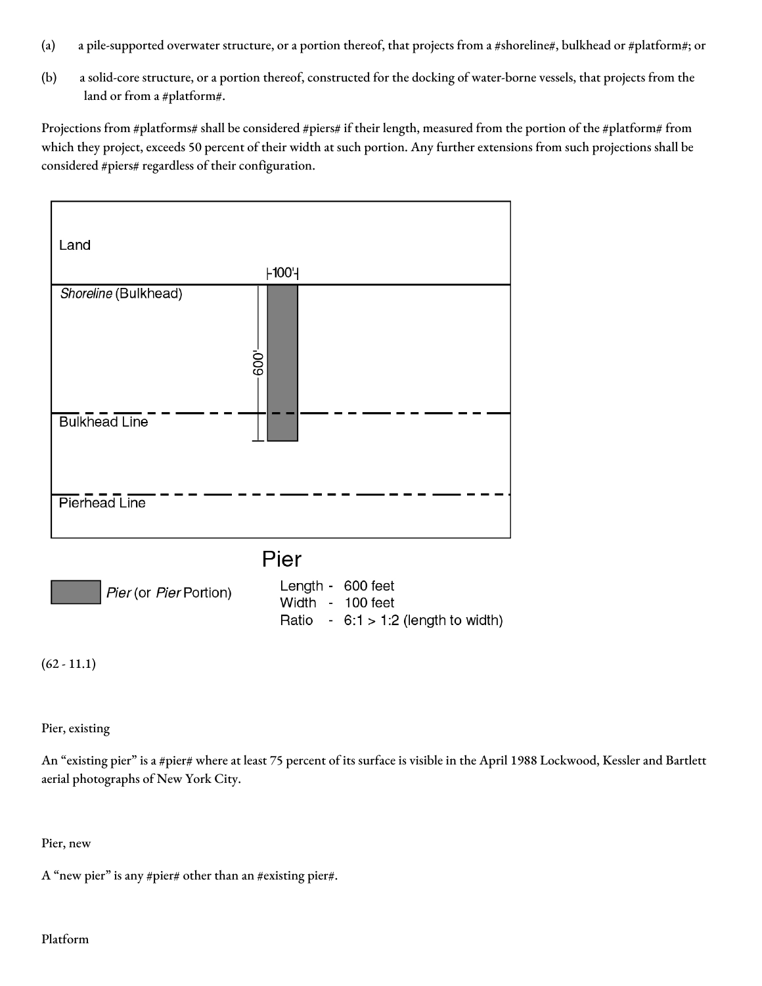- (a) a pile-supported overwater structure, or a portion thereof, that projects from a #shoreline#, bulkhead or #platform#; or
- (b) a solid-core structure, or a portion thereof, constructed for the docking of water-borne vessels, that projects from the land or from a #platform#.

Projections from #platforms# shall be considered #piers# if their length, measured from the portion of the #platform# from which they project, exceeds 50 percent of their width at such portion. Any further extensions from such projections shall be considered #piers# regardless of their configuration.



Pier (or Pier Portion)

Length - 600 feet Width - 100 feet Ratio -  $6:1 > 1:2$  (length to width)

 $(62 - 11.1)$ 

Pier, existing

An "existing pier" is a #pier# where at least 75 percent of its surface is visible in the April 1988 Lockwood, Kessler and Bartlett aerial photographs of New York City.

Pier, new

A "new pier" is any #pier# other than an #existing pier#.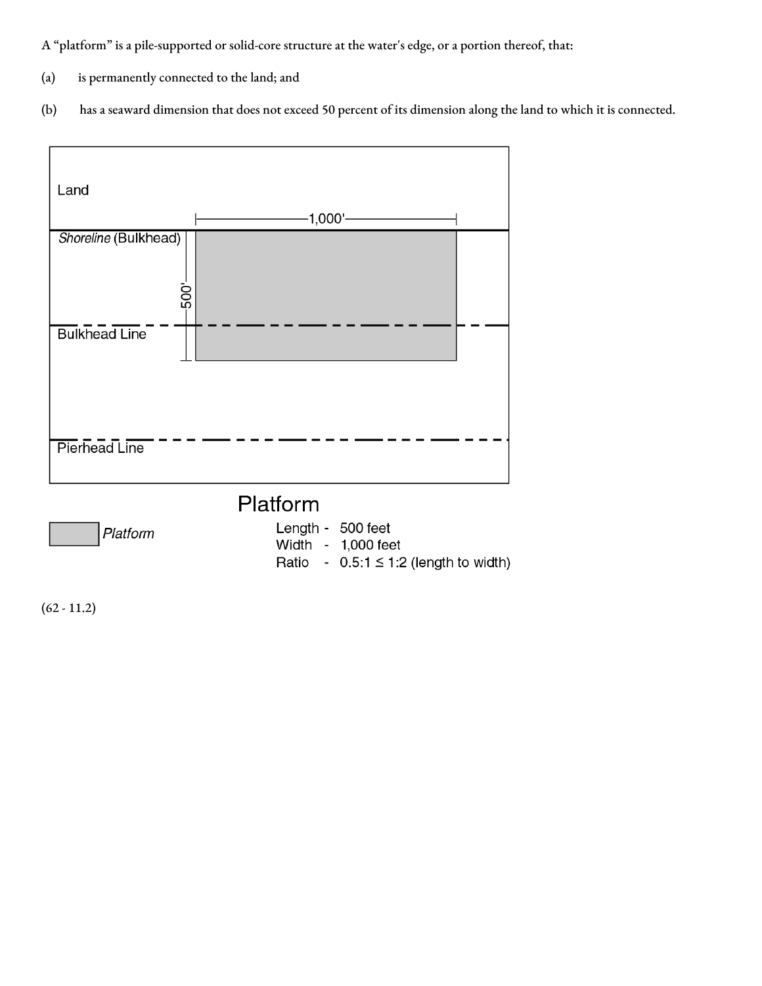A "platform" is a pile-supported or solid-core structure at the water's edge, or a portion thereof, that:

- (a) is permanently connected to the land; and
- (b) has a seaward dimension that does not exceed 50 percent of its dimension along the land to which it is connected.



Platform

Length - 500 feet

Width - 1,000 feet Ratio -  $0.5:1 \leq 1:2$  (length to width)

 $(62 - 11.2)$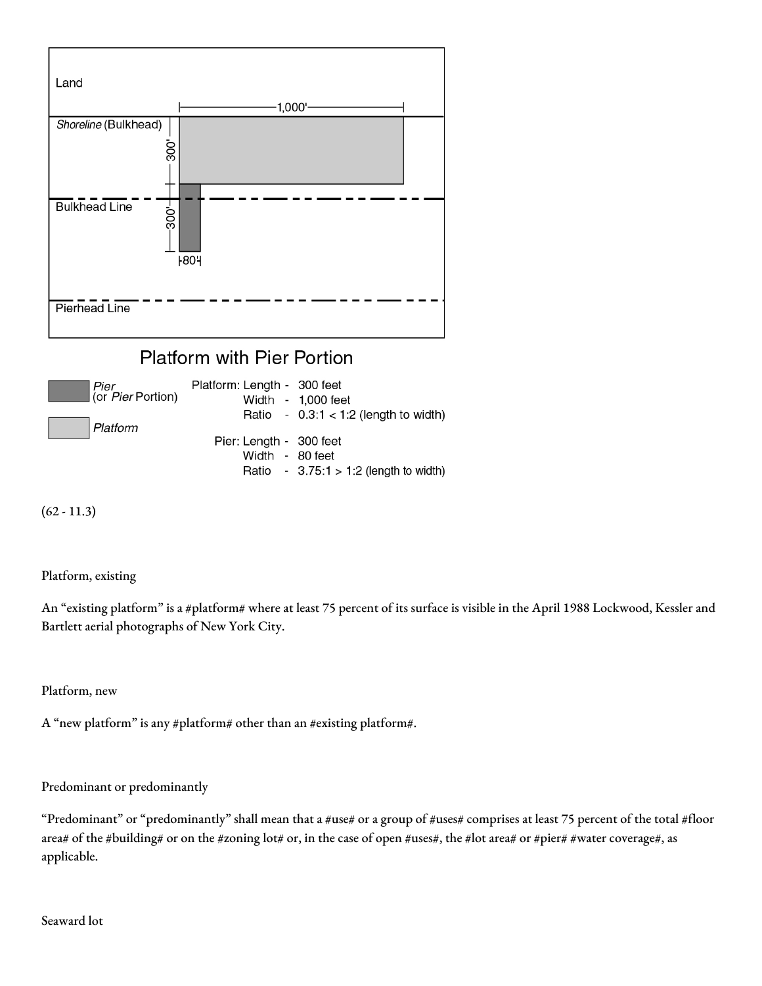



 $(62 - 11.3)$ 

Platform, existing

An "existing platform" is a #platform# where at least 75 percent of its surface is visible in the April 1988 Lockwood, Kessler and Bartlett aerial photographs of New York City.

Platform, new

A "new platform" is any #platform# other than an #existing platform#.

Predominant or predominantly

"Predominant" or "predominantly" shall mean that a #use# or a group of #uses# comprises at least 75 percent of the total #floor area# of the #building# or on the #zoning lot# or, in the case of open #uses#, the #lot area# or #pier# #water coverage#, as applicable.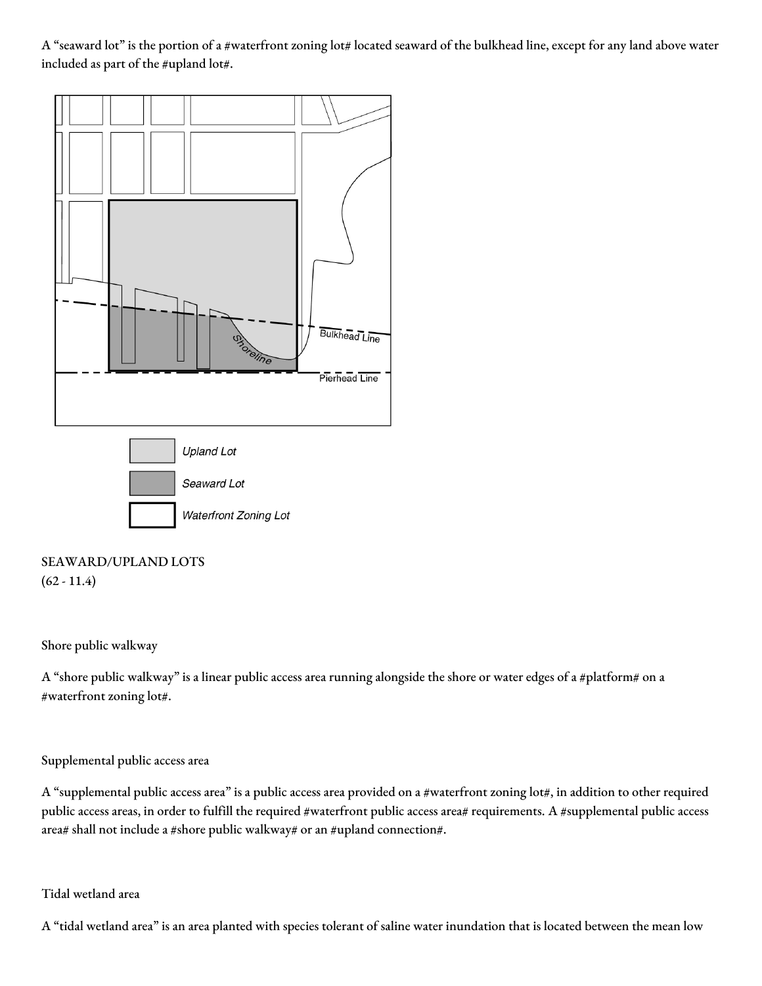A "seaward lot" is the portion of a #waterfront zoning lot# located seaward of the bulkhead line, except for any land above water included as part of the #upland lot#.



# SEAWARD/UPLAND LOTS  $(62 - 11.4)$

#### Shore public walkway

A "shore public walkway" is a linear public access area running alongside the shore or water edges of a #platform# on a #waterfront zoning lot#.

#### Supplemental public access area

A "supplemental public access area" is a public access area provided on a #waterfront zoning lot#, in addition to other required public access areas, in order to fulfill the required #waterfront public access area# requirements. A #supplemental public access area# shall not include a #shore public walkway# or an #upland connection#.

#### Tidal wetland area

A "tidal wetland area" is an area planted with species tolerant of saline water inundation that is located between the mean low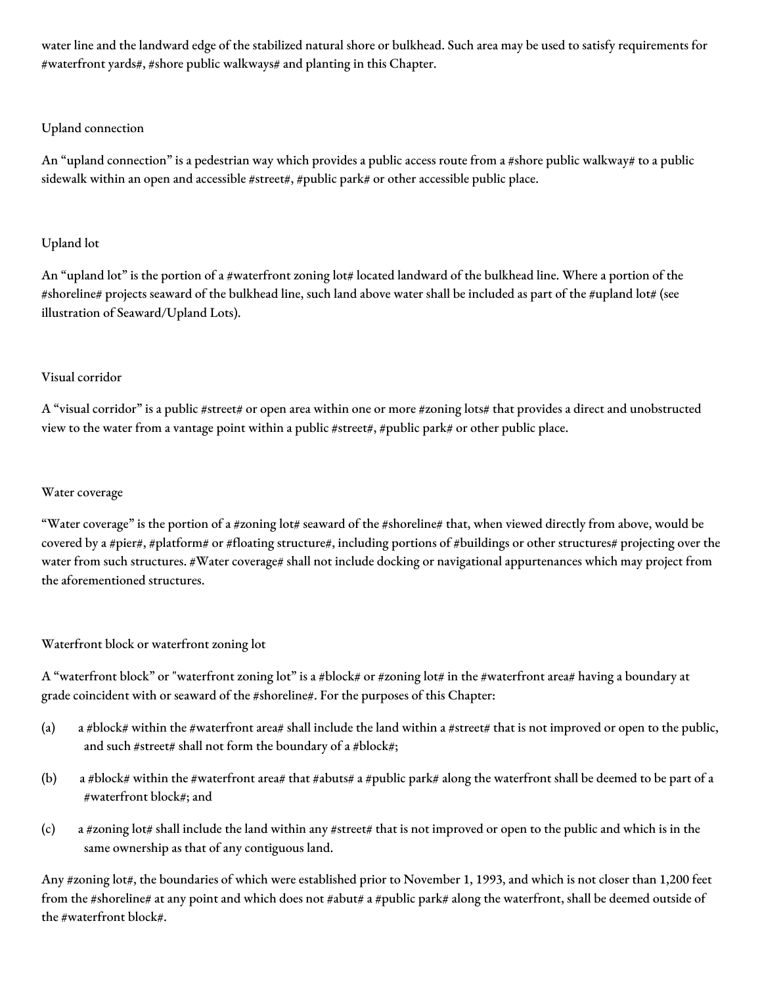water line and the landward edge of the stabilized natural shore or bulkhead. Such area may be used to satisfy requirements for #waterfront yards#, #shore public walkways# and planting in this Chapter.

# Upland connection

An "upland connection" is a pedestrian way which provides a public access route from a #shore public walkway# to a public sidewalk within an open and accessible #street#, #public park# or other accessible public place.

# Upland lot

An "upland lot" is the portion of a #waterfront zoning lot# located landward of the bulkhead line. Where a portion of the #shoreline# projects seaward of the bulkhead line, such land above water shall be included as part of the #upland lot# (see illustration of Seaward/Upland Lots).

## Visual corridor

A "visual corridor" is a public #street# or open area within one or more #zoning lots# that provides a direct and unobstructed view to the water from a vantage point within a public #street#, #public park# or other public place.

### Water coverage

"Water coverage" is the portion of a #zoning lot# seaward of the #shoreline# that, when viewed directly from above, would be covered by a #pier#, #platform# or #floating structure#, including portions of #buildings or other structures# projecting over the water from such structures. #Water coverage# shall not include docking or navigational appurtenances which may project from the aforementioned structures.

# Waterfront block or waterfront zoning lot

A "waterfront block" or "waterfront zoning lot" is a #block# or #zoning lot# in the #waterfront area# having a boundary at grade coincident with or seaward of the #shoreline#. For the purposes of this Chapter:

- (a) a #block# within the #waterfront area# shall include the land within a #street# that is not improved or open to the public, and such #street# shall not form the boundary of a #block#;
- (b) a #block# within the #waterfront area# that #abuts# a #public park# along the waterfront shall be deemed to be part of a #waterfront block#; and
- (c) a #zoning lot# shall include the land within any #street# that is not improved or open to the public and which is in the same ownership as that of any contiguous land.

Any #zoning lot#, the boundaries of which were established prior to November 1, 1993, and which is not closer than 1,200 feet from the #shoreline# at any point and which does not #abut# a #public park# along the waterfront, shall be deemed outside of the #waterfront block#.